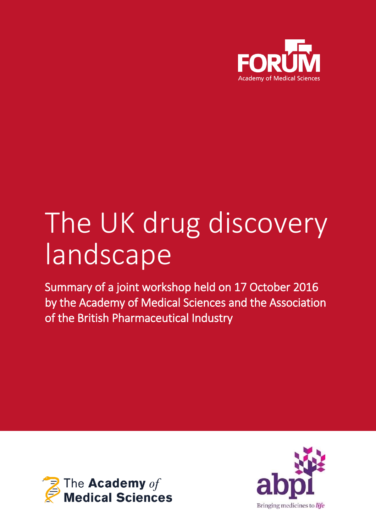

# The UK drug discovery landscape

Summary of a joint workshop held on 17 October 2016 by the Academy of Medical Sciences and the Association of the British Pharmaceutical Industry



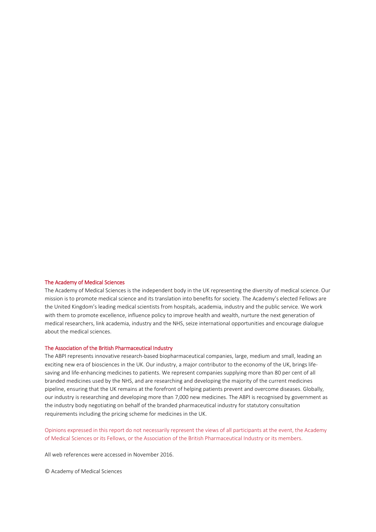#### The Academy of Medical Sciences

The Academy of Medical Sciences is the independent body in the UK representing the diversity of medical science. Our mission is to promote medical science and its translation into benefits for society. The Academy's elected Fellows are the United Kingdom's leading medical scientists from hospitals, academia, industry and the public service. We work with them to promote excellence, influence policy to improve health and wealth, nurture the next generation of medical researchers, link academia, industry and the NHS, seize international opportunities and encourage dialogue about the medical sciences.

#### The Association of the British Pharmaceutical Industry

The ABPI represents innovative research-based biopharmaceutical companies, large, medium and small, leading an exciting new era of biosciences in the UK. Our industry, a major contributor to the economy of the UK, brings lifesaving and life-enhancing medicines to patients. We represent companies supplying more than 80 per cent of all branded medicines used by the NHS, and are researching and developing the majority of the current medicines pipeline, ensuring that the UK remains at the forefront of helping patients prevent and overcome diseases. Globally, our industry is researching and developing more than 7,000 new medicines. The ABPI is recognised by government as the industry body negotiating on behalf of the branded pharmaceutical industry for statutory consultation requirements including the pricing scheme for medicines in the UK.

Opinions expressed in this report do not necessarily represent the views of all participants at the event, the Academy of Medical Sciences or its Fellows, or the Association of the British Pharmaceutical Industry or its members.

All web references were accessed in November 2016.

© Academy of Medical Sciences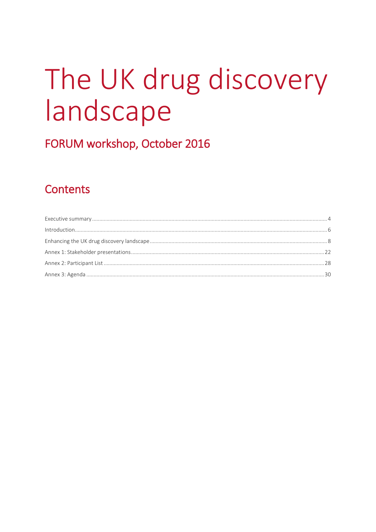# The UK drug discovery landscape

FORUM workshop, October 2016

## **Contents**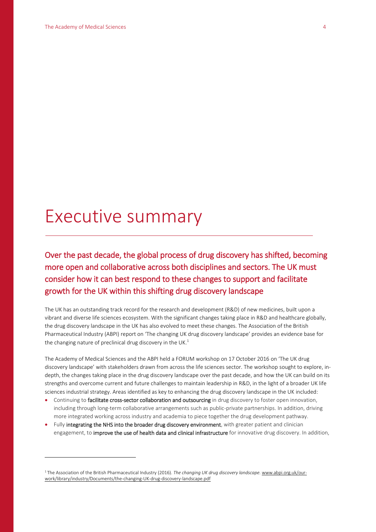$\overline{a}$ 

## Executive summary

Over the past decade, the global process of drug discovery has shifted, becoming more open and collaborative across both disciplines and sectors. The UK must consider how it can best respond to these changes to support and facilitate growth for the UK within this shifting drug discovery landscape

The UK has an outstanding track record for the research and development (R&D) of new medicines, built upon a vibrant and diverse life sciences ecosystem. With the significant changes taking place in R&D and healthcare globally, the drug discovery landscape in the UK has also evolved to meet these changes. The Association of the British Pharmaceutical Industry (ABPI) report on 'The changing UK drug discovery landscape' provides an evidence base for the changing nature of preclinical drug discovery in the UK. $<sup>1</sup>$ </sup>

The Academy of Medical Sciences and the ABPI held a FORUM workshop on 17 October 2016 on 'The UK drug discovery landscape' with stakeholders drawn from across the life sciences sector. The workshop sought to explore, indepth, the changes taking place in the drug discovery landscape over the past decade, and how the UK can build on its strengths and overcome current and future challenges to maintain leadership in R&D, in the light of a broader UK life sciences industrial strategy. Areas identified as key to enhancing the drug discovery landscape in the UK included:

- Continuing to facilitate cross-sector collaboration and outsourcing in drug discovery to foster open innovation, including through long-term collaborative arrangements such as public-private partnerships. In addition, driving more integrated working across industry and academia to piece together the drug development pathway.
- Fully integrating the NHS into the broader drug discovery environment, with greater patient and clinician engagement, to *improve the use of health data and clinical infrastructure* for innovative drug discovery. In addition,

<sup>1</sup> The Association of the British Pharmaceutical Industry (2016). *The changing UK drug discovery landscape.* [www.abpi.org.uk/our](http://www.abpi.org.uk/our-work/library/industry/Documents/the-changing-UK-drug-discovery-landscape.pdf)[work/library/industry/Documents/the-changing-UK-drug-discovery-landscape.pdf](http://www.abpi.org.uk/our-work/library/industry/Documents/the-changing-UK-drug-discovery-landscape.pdf)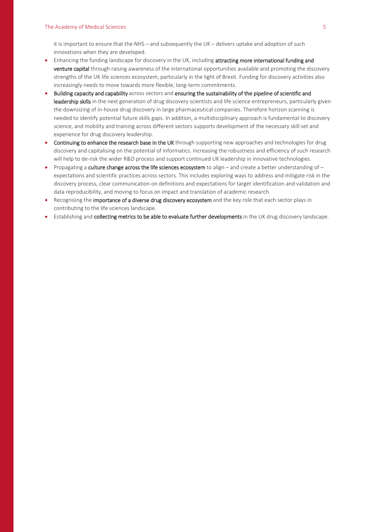it is important to ensure that the NHS – and subsequently the UK – delivers uptake and adoption of such innovations when they are developed.

- Enhancing the funding landscape for discovery in the UK, including attracting more international funding and venture capital through raising awareness of the international opportunities available and promoting the discovery strengths of the UK life sciences ecosystem, particularly in the light of Brexit. Funding for discovery activities also increasingly needs to move towards more flexible, long-term commitments.
- Building capacity and capability across sectors and ensuring the sustainability of the pipeline of scientific and leadership skills in the next generation of drug discovery scientists and life science entrepreneurs, particularly given the downsizing of in-house drug discovery in large pharmaceutical companies. Therefore horizon scanning is needed to identify potential future skills gaps. In addition, a multidisciplinary approach is fundamental to discovery science, and mobility and training across different sectors supports development of the necessary skill set and experience for drug discovery leadership.
- Continuing to enhance the research base in the UK through supporting new approaches and technologies for drug discovery and capitalising on the potential of informatics. Increasing the robustness and efficiency of such research will help to de-risk the wider R&D process and support continued UK leadership in innovative technologies.
- Propagating a culture change across the life sciences ecosystem to align and create a better understanding of expectations and scientific practices across sectors. This includes exploring ways to address and mitigate risk in the discovery process, clear communication on definitions and expectations for target identification and validation and data reproducibility, and moving to focus on impact and translation of academic research.
- Recognising the importance of a diverse drug discovery ecosystem and the key role that each sector plays in contributing to the life sciences landscape.
- Establishing and collecting metrics to be able to evaluate further developments in the UK drug discovery landscape.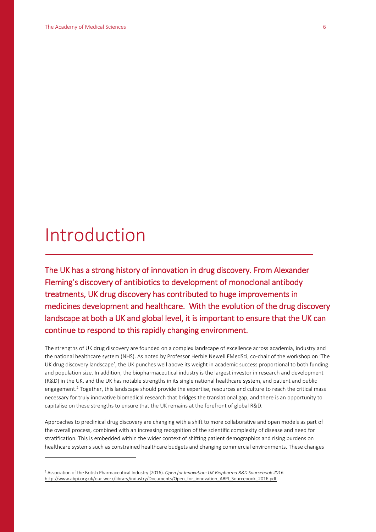## Introduction

 $\overline{a}$ 

The UK has a strong history of innovation in drug discovery. From Alexander Fleming's discovery of antibiotics to development of monoclonal antibody treatments, UK drug discovery has contributed to huge improvements in medicines development and healthcare. With the evolution of the drug discovery landscape at both a UK and global level, it is important to ensure that the UK can continue to respond to this rapidly changing environment.

The strengths of UK drug discovery are founded on a complex landscape of excellence across academia, industry and the national healthcare system (NHS). As noted by Professor Herbie Newell FMedSci, co-chair of the workshop on 'The UK drug discovery landscape', the UK punches well above its weight in academic success proportional to both funding and population size. In addition, the biopharmaceutical industry is the largest investor in research and development (R&D) in the UK, and the UK has notable strengths in its single national healthcare system, and patient and public engagement.<sup>2</sup> Together, this landscape should provide the expertise, resources and culture to reach the critical mass necessary for truly innovative biomedical research that bridges the translational gap, and there is an opportunity to capitalise on these strengths to ensure that the UK remains at the forefront of global R&D.

Approaches to preclinical drug discovery are changing with a shift to more collaborative and open models as part of the overall process, combined with an increasing recognition of the scientific complexity of disease and need for stratification. This is embedded within the wider context of shifting patient demographics and rising burdens on healthcare systems such as constrained healthcare budgets and changing commercial environments. These changes

<sup>2</sup> Association of the British Pharmaceutical Industry (2016). *Open for Innovation: UK Biopharma R&D Sourcebook 2016.* [http://www.abpi.org.uk/our-work/library/industry/Documents/Open\\_for\\_innovation\\_ABPI\\_Sourcebook\\_2016.pdf](http://www.abpi.org.uk/our-work/library/industry/Documents/Open_for_innovation_ABPI_Sourcebook_2016.pdf)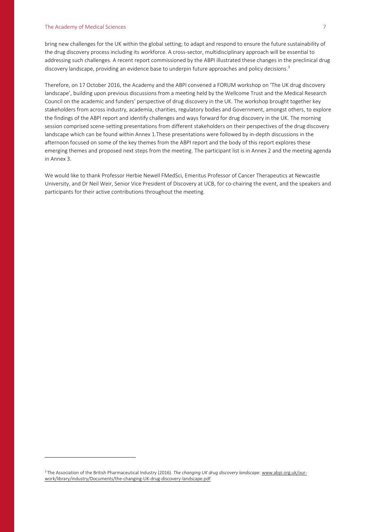#### The Academy of Medical Sciences 7

 $\overline{a}$ 

bring new challenges for the UK within the global setting; to adapt and respond to ensure the future sustainability of the drug discovery process including its workforce. A cross-sector, multidisciplinary approach will be essential to addressing such challenges. A recent report commissioned by the ABPI illustrated these changes in the preclinical drug discovery landscape, providing an evidence base to underpin future approaches and policy decisions.<sup>3</sup>

Therefore, on 17 October 2016, the Academy and the ABPI convened a FORUM workshop on 'The UK drug discovery landscape', building upon previous discussions from a meeting held by the Wellcome Trust and the Medical Research Council on the academic and funders' perspective of drug discovery in the UK. The workshop brought together key stakeholders from across industry, academia, charities, regulatory bodies and Government, amongst others, to explore the findings of the ABPI report and identify challenges and ways forward for drug discovery in the UK. The morning session comprised scene-setting presentations from different stakeholders on their perspectives of the drug discovery landscape which can be found within Annex 1.These presentations were followed by in-depth discussions in the afternoon focused on some of the key themes from the ABPI report and the body of this report explores these emerging themes and proposed next steps from the meeting. The participant list is in Annex 2 and the meeting agenda in Annex 3.

We would like to thank Professor Herbie Newell FMedSci, Emeritus Professor of Cancer Therapeutics at Newcastle University, and Dr Neil Weir, Senior Vice President of Discovery at UCB, for co-chairing the event, and the speakers and participants for their active contributions throughout the meeting.

<sup>&</sup>lt;sup>3</sup> The Association of the British Pharmaceutical Industry (2016). *The changing UK drug discovery landscape*. [www.abpi.org.uk/our](http://www.abpi.org.uk/our-work/library/industry/Documents/the-changing-UK-drug-discovery-landscape.pdf)[work/library/industry/Documents/the-changing-UK-drug-discovery-landscape.pdf](http://www.abpi.org.uk/our-work/library/industry/Documents/the-changing-UK-drug-discovery-landscape.pdf)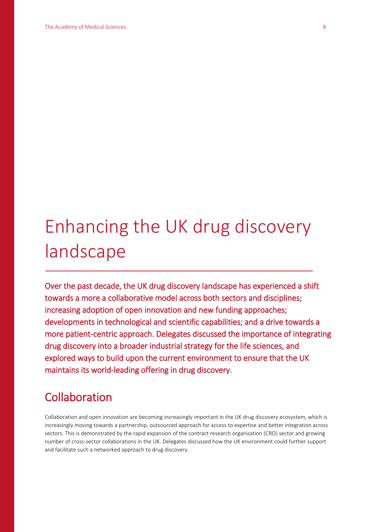## Enhancing the UK drug discovery landscape

Over the past decade, the UK drug discovery landscape has experienced a shift towards a more a collaborative model across both sectors and disciplines; increasing adoption of open innovation and new funding approaches; developments in technological and scientific capabilities; and a drive towards a more patient-centric approach. Delegates discussed the importance of integrating drug discovery into a broader industrial strategy for the life sciences, and explored ways to build upon the current environment to ensure that the UK maintains its world-leading offering in drug discovery.

## Collaboration

Collaboration and open innovation are becoming increasingly important in the UK drug discovery ecosystem, which is increasingly moving towards a partnership, outsourced approach for access to expertise and better integration across sectors. This is demonstrated by the rapid expansion of the contract research organisation (CRO) sector and growing number of cross-sector collaborations in the UK. Delegates discussed how the UK environment could further support and facilitate such a networked approach to drug discovery.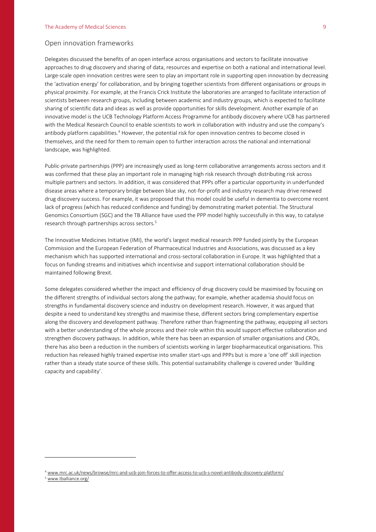#### Open innovation frameworks

Delegates discussed the benefits of an open interface across organisations and sectors to facilitate innovative approaches to drug discovery and sharing of data, resources and expertise on both a national and international level. Large-scale open innovation centres were seen to play an important role in supporting open innovation by decreasing the 'activation energy' for collaboration, and by bringing together scientists from different organisations or groups in physical proximity. For example, at the Francis Crick Institute the laboratories are arranged to facilitate interaction of scientists between research groups, including between academic and industry groups, which is expected to facilitate sharing of scientific data and ideas as well as provide opportunities for skills development. Another example of an innovative model is the UCB Technology Platform Access Programme for antibody discovery where UCB has partnered with the Medical Research Council to enable scientists to work in collaboration with industry and use the company's antibody platform capabilities.<sup>4</sup> However, the potential risk for open innovation centres to become closed in themselves, and the need for them to remain open to further interaction across the national and international landscape, was highlighted.

Public-private partnerships (PPP) are increasingly used as long-term collaborative arrangements across sectors and it was confirmed that these play an important role in managing high risk research through distributing risk across multiple partners and sectors. In addition, it was considered that PPPs offer a particular opportunity in underfunded disease areas where a temporary bridge between blue sky, not-for-profit and industry research may drive renewed drug discovery success. For example, it was proposed that this model could be useful in dementia to overcome recent lack of progress (which has reduced confidence and funding) by demonstrating market potential. The Structural Genomics Consortium (SGC) and the TB Alliance have used the PPP model highly successfully in this way, to catalyse research through partnerships across sectors.<sup>5</sup>

The Innovative Medicines Initiative (IMI), the world's largest medical research PPP funded jointly by the European Commission and the European Federation of Pharmaceutical Industries and Associations, was discussed as a key mechanism which has supported international and cross-sectoral collaboration in Europe. It was highlighted that a focus on funding streams and initiatives which incentivise and support international collaboration should be maintained following Brexit.

Some delegates considered whether the impact and efficiency of drug discovery could be maximised by focusing on the different strengths of individual sectors along the pathway; for example, whether academia should focus on strengths in fundamental discovery science and industry on development research. However, it was argued that despite a need to understand key strengths and maximise these, different sectors bring complementary expertise along the discovery and development pathway. Therefore rather than fragmenting the pathway, equipping all sectors with a better understanding of the whole process and their role within this would support effective collaboration and strengthen discovery pathways. In addition, while there has been an expansion of smaller organisations and CROs, there has also been a reduction in the numbers of scientists working in larger biopharmaceutical organisations. This reduction has released highly trained expertise into smaller start-ups and PPPs but is more a 'one off' skill injection rather than a steady state source of these skills. This potential sustainability challenge is covered under 'Building capacity and capability'.

<sup>4</sup> [www.mrc.ac.uk/news/browse/mrc-and-ucb-join-forces-to-offer-access-to-ucb-s-novel-antibody-discovery-platform/](http://www.mrc.ac.uk/news/browse/mrc-and-ucb-join-forces-to-offer-access-to-ucb-s-novel-antibody-discovery-platform/)

[www.tballiance.org/](http://www.tballiance.org/)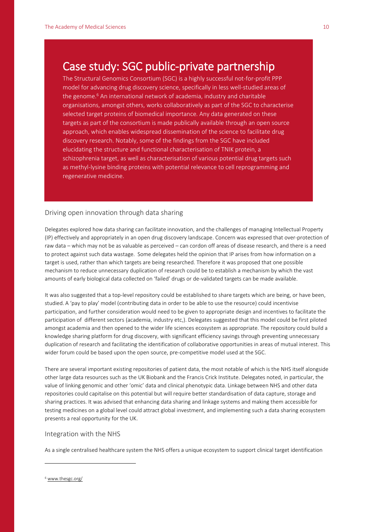## Case study: SGC public-private partnership

The Structural Genomics Consortium (SGC) is a highly successful not-for-profit PPP model for advancing drug discovery science, specifically in less well-studied areas of the genome.<sup>6</sup> An international network of academia, industry and charitable organisations, amongst others, works collaboratively as part of the SGC to characterise selected target proteins of biomedical importance. Any data generated on these targets as part of the consortium is made publically available through an open source approach, which enables widespread dissemination of the science to facilitate drug discovery research. Notably, some of the findings from the SGC have included elucidating the structure and functional characterisation of TNIK protein, a schizophrenia target, as well as characterisation of various potential drug targets such as methyl-lysine binding proteins with potential relevance to cell reprogramming and regenerative medicine.

#### Driving open innovation through data sharing

Delegates explored how data sharing can facilitate innovation, and the challenges of managing Intellectual Property (IP) effectively and appropriately in an open drug discovery landscape. Concern was expressed that over-protection of raw data – which may not be as valuable as perceived – can cordon off areas of disease research, and there is a need to protect against such data wastage. Some delegates held the opinion that IP arises from how information on a target is used, rather than which targets are being researched. Therefore it was proposed that one possible mechanism to reduce unnecessary duplication of research could be to establish a mechanism by which the vast amounts of early biological data collected on 'failed' drugs or de-validated targets can be made available.

It was also suggested that a top-level repository could be established to share targets which are being, or have been, studied. A 'pay to play' model (contributing data in order to be able to use the resource) could incentivise participation, and further consideration would need to be given to appropriate design and incentives to facilitate the participation of different sectors (academia, industry etc,). Delegates suggested that this model could be first piloted amongst academia and then opened to the wider life sciences ecosystem as appropriate. The repository could build a knowledge sharing platform for drug discovery, with significant efficiency savings through preventing unnecessary duplication of research and facilitating the identification of collaborative opportunities in areas of mutual interest. This wider forum could be based upon the open source, pre-competitive model used at the SGC.

There are several important existing repositories of patient data, the most notable of which is the NHS itself alongside other large data resources such as the UK Biobank and the Francis Crick Institute. Delegates noted, in particular, the value of linking genomic and other 'omic' data and clinical phenotypic data. Linkage between NHS and other data repositories could capitalise on this potential but will require better standardisation of data capture, storage and sharing practices. It was advised that enhancing data sharing and linkage systems and making them accessible for testing medicines on a global level could attract global investment, and implementing such a data sharing ecosystem presents a real opportunity for the UK.

#### Integration with the NHS

As a single centralised healthcare system the NHS offers a unique ecosystem to support clinical target identification

<sup>6</sup> [www.thesgc.org/](http://www.thesgc.org/)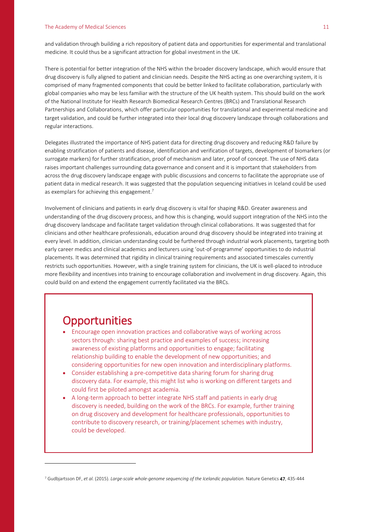#### The Academy of Medical Sciences 11 and 2008 12 and 2008 12 and 2008 12 and 2008 12 and 2008 12 and 2008 12 and 2008 12 and 2008 12 and 2008 12 and 2008 12 and 2008 12 and 2008 12 and 2008 12 and 2008 12 and 2008 12 and 200

and validation through building a rich repository of patient data and opportunities for experimental and translational medicine. It could thus be a significant attraction for global investment in the UK.

There is potential for better integration of the NHS within the broader discovery landscape, which would ensure that drug discovery is fully aligned to patient and clinician needs. Despite the NHS acting as one overarching system, it is comprised of many fragmented components that could be better linked to facilitate collaboration, particularly with global companies who may be less familiar with the structure of the UK health system. This should build on the work of the National Institute for Health Research Biomedical Research Centres (BRCs) and Translational Research Partnerships and Collaborations, which offer particular opportunities for translational and experimental medicine and target validation, and could be further integrated into their local drug discovery landscape through collaborations and regular interactions.

Delegates illustrated the importance of NHS patient data for directing drug discovery and reducing R&D failure by enabling stratification of patients and disease, identification and verification of targets, development of biomarkers (or surrogate markers) for further stratification, proof of mechanism and later, proof of concept. The use of NHS data raises important challenges surrounding data governance and consent and it is important that stakeholders from across the drug discovery landscape engage with public discussions and concerns to facilitate the appropriate use of patient data in medical research. It was suggested that the population sequencing initiatives in Iceland could be used as exemplars for achieving this engagement.<sup>7</sup>

Involvement of clinicians and patients in early drug discovery is vital for shaping R&D. Greater awareness and understanding of the drug discovery process, and how this is changing, would support integration of the NHS into the drug discovery landscape and facilitate target validation through clinical collaborations. It was suggested that for clinicians and other healthcare professionals, education around drug discovery should be integrated into training at every level. In addition, clinician understanding could be furthered through industrial work placements, targeting both early career medics and clinical academics and lecturers using 'out-of-programme' opportunities to do industrial placements. It was determined that rigidity in clinical training requirements and associated timescales currently restricts such opportunities. However, with a single training system for clinicians, the UK is well-placed to introduce more flexibility and incentives into training to encourage collaboration and involvement in drug discovery. Again, this could build on and extend the engagement currently facilitated via the BRCs.

### **Opportunities**

 $\overline{a}$ 

- Encourage open innovation practices and collaborative ways of working across sectors through: sharing best practice and examples of success; increasing awareness of existing platforms and opportunities to engage; facilitating relationship building to enable the development of new opportunities; and considering opportunities for new open innovation and interdisciplinary platforms.
- Consider establishing a pre-competitive data sharing forum for sharing drug discovery data. For example, this might list who is working on different targets and could first be piloted amongst academia.
- A long-term approach to better integrate NHS staff and patients in early drug discovery is needed, building on the work of the BRCs. For example, further training on drug discovery and development for healthcare professionals, opportunities to contribute to discovery research, or training/placement schemes with industry, could be developed.

<sup>7</sup> Gudbjartsson DF, *et al.* (2015). *Large-scale whole-genome sequencing of the Icelandic population.* Nature Genetics 47, 435-444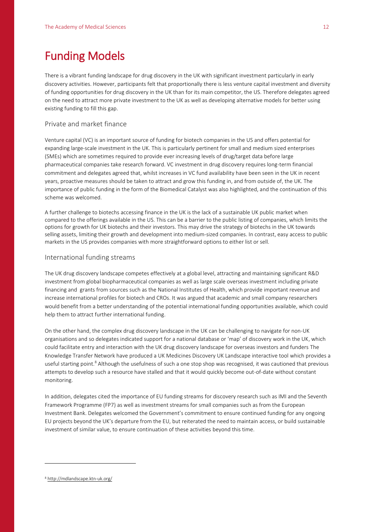## Funding Models

There is a vibrant funding landscape for drug discovery in the UK with significant investment particularly in early discovery activities. However, participants felt that proportionally there is less venture capital investment and diversity of funding opportunities for drug discovery in the UK than for its main competitor, the US. Therefore delegates agreed on the need to attract more private investment to the UK as well as developing alternative models for better using existing funding to fill this gap.

#### Private and market finance

Venture capital (VC) is an important source of funding for biotech companies in the US and offers potential for expanding large-scale investment in the UK. This is particularly pertinent for small and medium sized enterprises (SMEs) which are sometimes required to provide ever increasing levels of drug/target data before large pharmaceutical companies take research forward. VC investment in drug discovery requires long-term financial commitment and delegates agreed that, whilst increases in VC fund availability have been seen in the UK in recent years, proactive measures should be taken to attract and grow this funding in, and from outside of, the UK. The importance of public funding in the form of the Biomedical Catalyst was also highlighted, and the continuation of this scheme was welcomed.

A further challenge to biotechs accessing finance in the UK is the lack of a sustainable UK public market when compared to the offerings available in the US. This can be a barrier to the public listing of companies, which limits the options for growth for UK biotechs and their investors. This may drive the strategy of biotechs in the UK towards selling assets, limiting their growth and development into medium-sized companies. In contrast, easy access to public markets in the US provides companies with more straightforward options to either list or sell.

#### International funding streams

The UK drug discovery landscape competes effectively at a global level, attracting and maintaining significant R&D investment from global biopharmaceutical companies as well as large scale overseas investment including private financing and grants from sources such as the National Institutes of Health, which provide important revenue and increase international profiles for biotech and CROs. It was argued that academic and small company researchers would benefit from a better understanding of the potential international funding opportunities available, which could help them to attract further international funding.

On the other hand, the complex drug discovery landscape in the UK can be challenging to navigate for non-UK organisations and so delegates indicated support for a national database or 'map' of discovery work in the UK, which could facilitate entry and interaction with the UK drug discovery landscape for overseas investors and funders The Knowledge Transfer Network have produced a UK Medicines Discovery UK Landscape interactive tool which provides a useful starting point.<sup>8</sup> Although the usefulness of such a one stop shop was recognised, it was cautioned that previous attempts to develop such a resource have stalled and that it would quickly become out-of-date without constant monitoring.

In addition, delegates cited the importance of EU funding streams for discovery research such as IMI and the Seventh Framework Programme (FP7) as well as investment streams for small companies such as from the European Investment Bank. Delegates welcomed the Government's commitment to ensure continued funding for any ongoing EU projects beyond the UK's departure from the EU, but reiterated the need to maintain access, or build sustainable investment of similar value, to ensure continuation of these activities beyond this time.

<sup>8</sup> <http://mdlandscape.ktn-uk.org/>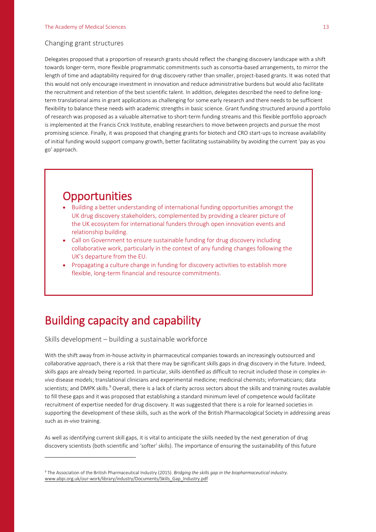#### Changing grant structures

Delegates proposed that a proportion of research grants should reflect the changing discovery landscape with a shift towards longer-term, more flexible programmatic commitments such as consortia-based arrangements, to mirror the length of time and adaptability required for drug discovery rather than smaller, project-based grants. It was noted that this would not only encourage investment in innovation and reduce administrative burdens but would also facilitate the recruitment and retention of the best scientific talent. In addition, delegates described the need to define longterm translational aims in grant applications as challenging for some early research and there needs to be sufficient flexibility to balance these needs with academic strengths in basic science. Grant funding structured around a portfolio of research was proposed as a valuable alternative to short-term funding streams and this flexible portfolio approach is implemented at the Francis Crick Institute, enabling researchers to move between projects and pursue the most promising science. Finally, it was proposed that changing grants for biotech and CRO start-ups to increase availability of initial funding would support company growth, better facilitating sustainability by avoiding the current 'pay as you go' approach.

### **Opportunities**

- Building a better understanding of international funding opportunities amongst the UK drug discovery stakeholders, complemented by providing a clearer picture of the UK ecosystem for international funders through open innovation events and relationship building.
- Call on Government to ensure sustainable funding for drug discovery including collaborative work, particularly in the context of any funding changes following the UK's departure from the EU.
- Propagating a culture change in funding for discovery activities to establish more flexible, long-term financial and resource commitments.

## Building capacity and capability

Skills development – building a sustainable workforce

 $\overline{a}$ 

With the shift away from in-house activity in pharmaceutical companies towards an increasingly outsourced and collaborative approach, there is a risk that there may be significant skills gaps in drug discovery in the future. Indeed, skills gaps are already being reported. In particular, skills identified as difficult to recruit included those in complex *invivo* disease models; translational clinicians and experimental medicine; medicinal chemists; informaticians; data scientists; and DMPK skills.<sup>9</sup> Overall, there is a lack of clarity across sectors about the skills and training routes available to fill these gaps and it was proposed that establishing a standard minimum level of competence would facilitate recruitment of expertise needed for drug discovery. It was suggested that there is a role for learned societies in supporting the development of these skills, such as the work of the British Pharmacological Society in addressing areas such as *in-vivo* training.

As well as identifying current skill gaps, it is vital to anticipate the skills needed by the next generation of drug discovery scientists (both scientific and 'softer' skills). The importance of ensuring the sustainability of this future

<sup>9</sup> The Association of the British Pharmaceutical Industry (2015). *Bridging the skills gap in the biopharmaceutical industry.*  [www.abpi.org.uk/our-work/library/industry/Documents/Skills\\_Gap\\_Industry.pdf](http://www.abpi.org.uk/our-work/library/industry/Documents/Skills_Gap_Industry.pdf)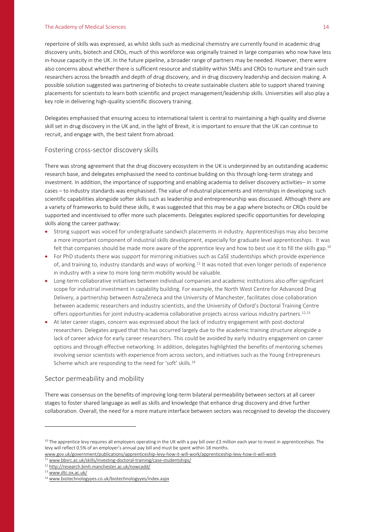#### The Academy of Medical Sciences 14

repertoire of skills was expressed, as whilst skills such as medicinal chemistry are currently found in academic drug discovery units, biotech and CROs, much of this workforce was originally trained in large companies who now have less in-house capacity in the UK. In the future pipeline, a broader range of partners may be needed. However, there were also concerns about whether there is sufficient resource and stability within SMEs and CROs to nurture and train such researchers across the breadth and depth of drug discovery, and in drug discovery leadership and decision making. A possible solution suggested was partnering of biotechs to create sustainable clusters able to support shared training placements for scientists to learn both scientific and project management/leadership skills. Universities will also play a key role in delivering high-quality scientific discovery training.

Delegates emphasised that ensuring access to international talent is central to maintaining a high quality and diverse skill set in drug discovery in the UK and, in the light of Brexit, it is important to ensure that the UK can continue to recruit, and engage with, the best talent from abroad.

#### Fostering cross-sector discovery skills

There was strong agreement that the drug discovery ecosystem in the UK is underpinned by an outstanding academic research base, and delegates emphasised the need to continue building on this through long-term strategy and investment. In addition, the importance of supporting and enabling academia to deliver discovery activities– in some cases – to industry standards was emphasised. The value of industrial placements and internships in developing such scientific capabilities alongside softer skills such as leadership and entrepreneurship was discussed. Although there are a variety of frameworks to build these skills, it was suggested that this may be a gap where biotechs or CROs could be supported and incentivised to offer more such placements. Delegates explored specific opportunities for developing skills along the career pathway:

- Strong support was voiced for undergraduate sandwich placements in industry. Apprenticeships may also become a more important component of industrial skills development, especially for graduate level apprenticeships. It was felt that companies should be made more aware of the apprentice levy and how to best use it to fill the skills gap.<sup>10</sup>
- For PhD students there was support for mirroring initiatives such as CaSE studentships which provide experience of, and training to, industry standards and ways of working.<sup>11</sup> It was noted that even longer periods of experience in industry with a view to more long-term mobility would be valuable.
- Long-term collaborative initiatives between individual companies and academic institutions also offer significant scope for industrial investment in capability building. For example, the North West Centre for Advanced Drug Delivery, a partnership between AstraZeneca and the University of Manchester, facilitates close collaboration between academic researchers and industry scientists, and the University of Oxford's Doctoral Training Centre offers opportunities for joint industry-academia collaborative projects across various industry partners.<sup>12,13</sup>
- At later career stages, concern was expressed about the lack of industry engagement with post-doctoral researchers. Delegates argued that this has occurred largely due to the academic training structure alongside a lack of career advice for early career researchers. This could be avoided by early industry engagement on career options and through effective networking. In addition, delegates highlighted the benefits of mentoring schemes involving senior scientists with experience from across sectors, and initiatives such as the Young Entrepreneurs Scheme which are responding to the need for 'soft' skills.<sup>14</sup>

#### Sector permeability and mobility

There was consensus on the benefits of improving long-term bilateral permeability between sectors at all career stages to foster shared language as well as skills and knowledge that enhance drug discovery and drive further collaboration. Overall, the need for a more mature interface between sectors was recognised to develop the discovery

 $10$  The apprentice levy requires all employers operating in the UK with a pay bill over £3 million each year to invest in apprenticeships. The levy will reflect 0.5% of an employer's annual pay bill and must be spent within 18 months.

[www.gov.uk/government/publications/apprenticeship-levy-how-it-will-work/apprenticeship-levy-how-it-will-work](http://www.gov.uk/government/publications/apprenticeship-levy-how-it-will-work/apprenticeship-levy-how-it-will-work) <sup>11</sup> [www.bbsrc.ac.uk/skills/investing-doctoral-training/case-studentships/](http://www.bbsrc.ac.uk/skills/investing-doctoral-training/case-studentships/)

<sup>12</sup> <http://research.bmh.manchester.ac.uk/nowcadd/>

<sup>13</sup> [www.dtc.ox.ac.uk/](http://www.dtc.ox.ac.uk/)

<sup>14</sup> [www.biotechnologyyes.co.uk/biotechnologyyes/index.aspx](http://www.biotechnologyyes.co.uk/biotechnologyyes/index.aspx)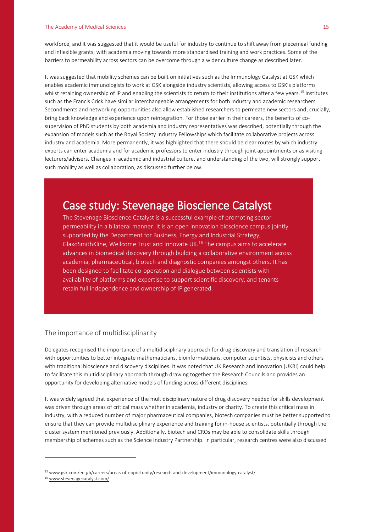workforce, and it was suggested that it would be useful for industry to continue to shift away from piecemeal funding and inflexible grants, with academia moving towards more standardised training and work practices. Some of the barriers to permeability across sectors can be overcome through a wider culture change as described later.

It was suggested that mobility schemes can be built on initiatives such as the Immunology Catalyst at GSK which enables academic immunologists to work at GSK alongside industry scientists, allowing access to GSK's platforms whilst retaining ownership of IP and enabling the scientists to return to their institutions after a few years.<sup>15</sup> Institutes such as the Francis Crick have similar interchangeable arrangements for both industry and academic researchers. Secondments and networking opportunities also allow established researchers to permeate new sectors and, crucially, bring back knowledge and experience upon reintegration. For those earlier in their careers, the benefits of cosupervision of PhD students by both academia and industry representatives was described, potentially through the expansion of models such as the Royal Society Industry Fellowships which facilitate collaborative projects across industry and academia. More permanently, it was highlighted that there should be clear routes by which industry experts can enter academia and for academic professors to enter industry through joint appointments or as visiting lecturers/advisers. Changes in academic and industrial culture, and understanding of the two, will strongly support such mobility as well as collaboration, as discussed further below.

## Case study: Stevenage Bioscience Catalyst

The Stevenage Bioscience Catalyst is a successful example of promoting sector permeability in a bilateral manner. It is an open innovation bioscience campus jointly supported by the Department for Business, Energy and Industrial Strategy, GlaxoSmithKline, Wellcome Trust and Innovate UK.<sup>16</sup> The campus aims to accelerate advances in biomedical discovery through building a collaborative environment across academia, pharmaceutical, biotech and diagnostic companies amongst others. It has been designed to facilitate co-operation and dialogue between scientists with availability of platforms and expertise to support scientific discovery, and tenants retain full independence and ownership of IP generated.

#### The importance of multidisciplinarity

Delegates recognised the importance of a multidisciplinary approach for drug discovery and translation of research with opportunities to better integrate mathematicians, bioinformaticians, computer scientists, physicists and others with traditional bioscience and discovery disciplines. It was noted that UK Research and Innovation (UKRI) could help to facilitate this multidisciplinary approach through drawing together the Research Councils and provides an opportunity for developing alternative models of funding across different disciplines.

It was widely agreed that experience of the multidisciplinary nature of drug discovery needed for skills development was driven through areas of critical mass whether in academia, industry or charity. To create this critical mass in industry, with a reduced number of major pharmaceutical companies, biotech companies must be better supported to ensure that they can provide multidisciplinary experience and training for in-house scientists, potentially through the cluster system mentioned previously. Additionally, biotech and CROs may be able to consolidate skills through membership of schemes such as the Science Industry Partnership. In particular, research centres were also discussed

<sup>&</sup>lt;sup>15</sup> [www.gsk.com/en-gb/careers/areas-of-opportunity/research-and-development/immunology-catalyst/](http://www.gsk.com/en-gb/careers/areas-of-opportunity/research-and-development/immunology-catalyst/)

<sup>16</sup> [www.stevenagecatalyst.com/](http://www.stevenagecatalyst.com/)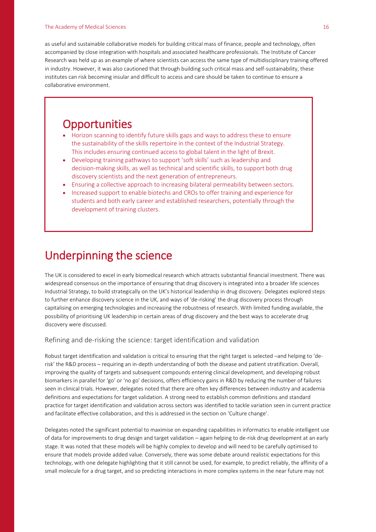#### The Academy of Medical Sciences 16 and 200 million that the control of the control of the control of the control of the control of the control of the control of the control of the control of the control of the control of t

as useful and sustainable collaborative models for building critical mass of finance, people and technology, often accompanied by close integration with hospitals and associated healthcare professionals. The Institute of Cancer Research was held up as an example of where scientists can access the same type of multidisciplinary training offered in industry. However, it was also cautioned that through building such critical mass and self-sustainability, these institutes can risk becoming insular and difficult to access and care should be taken to continue to ensure a collaborative environment.

## **Opportunities**

- Horizon scanning to identify future skills gaps and ways to address these to ensure the sustainability of the skills repertoire in the context of the Industrial Strategy. This includes ensuring continued access to global talent in the light of Brexit.
- Developing training pathways to support 'soft skills' such as leadership and decision-making skills, as well as technical and scientific skills, to support both drug discovery scientists and the next generation of entrepreneurs.
- Ensuring a collective approach to increasing bilateral permeability between sectors.
- Increased support to enable biotechs and CROs to offer training and experience for students and both early career and established researchers, potentially through the development of training clusters.

## Underpinning the science

The UK is considered to excel in early biomedical research which attracts substantial financial investment. There was widespread consensus on the importance of ensuring that drug discovery is integrated into a broader life sciences Industrial Strategy, to build strategically on the UK's historical leadership in drug discovery. Delegates explored steps to further enhance discovery science in the UK, and ways of 'de-risking' the drug discovery process through capitalising on emerging technologies and increasing the robustness of research. With limited funding available, the possibility of prioritising UK leadership in certain areas of drug discovery and the best ways to accelerate drug discovery were discussed.

#### Refining and de-risking the science: target identification and validation

Robust target identification and validation is critical to ensuring that the right target is selected –and helping to 'derisk' the R&D process – requiring an in-depth understanding of both the disease and patient stratification. Overall, improving the quality of targets and subsequent compounds entering clinical development, and developing robust biomarkers in parallel for 'go' or 'no go' decisions, offers efficiency gains in R&D by reducing the number of failures seen in clinical trials. However, delegates noted that there are often key differences between industry and academia definitions and expectations for target validation. A strong need to establish common definitions and standard practice for target identification and validation across sectors was identified to tackle variation seen in current practice and facilitate effective collaboration, and this is addressed in the section on 'Culture change'.

Delegates noted the significant potential to maximise on expanding capabilities in informatics to enable intelligent use of data for improvements to drug design and target validation – again helping to de-risk drug development at an early stage. It was noted that these models will be highly complex to develop and will need to be carefully optimised to ensure that models provide added value. Conversely, there was some debate around realistic expectations for this technology, with one delegate highlighting that it still cannot be used, for example, to predict reliably, the affinity of a small molecule for a drug target, and so predicting interactions in more complex systems in the near future may not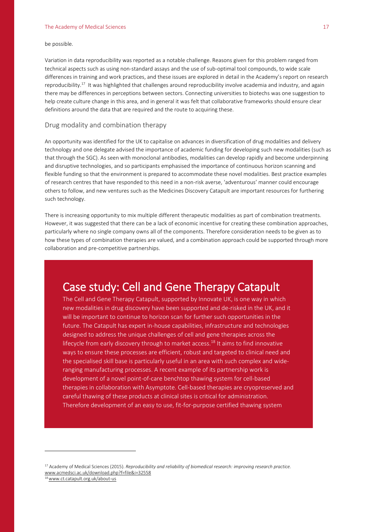be possible.

Variation in data reproducibility was reported as a notable challenge. Reasons given for this problem ranged from technical aspects such as using non-standard assays and the use of sub-optimal tool compounds, to wide scale differences in training and work practices, and these issues are explored in detail in the Academy's report on research reproducibility.<sup>17</sup> It was highlighted that challenges around reproducibility involve academia and industry, and again there may be differences in perceptions between sectors. Connecting universities to biotechs was one suggestion to help create culture change in this area, and in general it was felt that collaborative frameworks should ensure clear definitions around the data that are required and the route to acquiring these.

#### Drug modality and combination therapy

An opportunity was identified for the UK to capitalise on advances in diversification of drug modalities and delivery technology and one delegate advised the importance of academic funding for developing such new modalities (such as that through the SGC). As seen with monoclonal antibodies, modalities can develop rapidly and become underpinning and disruptive technologies, and so participants emphasised the importance of continuous horizon scanning and flexible funding so that the environment is prepared to accommodate these novel modalities. Best practice examples of research centres that have responded to this need in a non-risk averse, 'adventurous' manner could encourage others to follow, and new ventures such as the Medicines Discovery Catapult are important resources for furthering such technology.

There is increasing opportunity to mix multiple different therapeutic modalities as part of combination treatments. However, it was suggested that there can be a lack of economic incentive for creating these combination approaches, particularly where no single company owns all of the components. Therefore consideration needs to be given as to how these types of combination therapies are valued, and a combination approach could be supported through more collaboration and pre-competitive partnerships.

### Case study: Cell and Gene Therapy Catapult

The Cell and Gene Therapy Catapult, supported by Innovate UK, is one way in which new modalities in drug discovery have been supported and de-risked in the UK, and it will be important to continue to horizon scan for further such opportunities in the future. The Catapult has expert in-house capabilities, infrastructure and technologies designed to address the unique challenges of cell and gene therapies across the lifecycle from early discovery through to market access.<sup>18</sup> It aims to find innovative ways to ensure these processes are efficient, robust and targeted to clinical need and the specialised skill base is particularly useful in an area with such complex and wideranging manufacturing processes. A recent example of its partnership work is development of a novel point-of-care benchtop thawing system for cell-based therapies in collaboration with Asymptote. Cell-based therapies are cryopreserved and careful thawing of these products at clinical sites is critical for administration. Therefore development of an easy to use, fit-for-purpose certified thawing system

<sup>17</sup> Academy of Medical Sciences (2015). *Reproducibility and reliability of biomedical research: improving research practice.* [www.acmedsci.ac.uk/download.php?f=file&i=32558](http://www.acmedsci.ac.uk/download.php?f=file&i=32558)

<sup>18</sup>[www.ct.catapult.org.uk/about-us](http://www.ct.catapult.org.uk/about-us)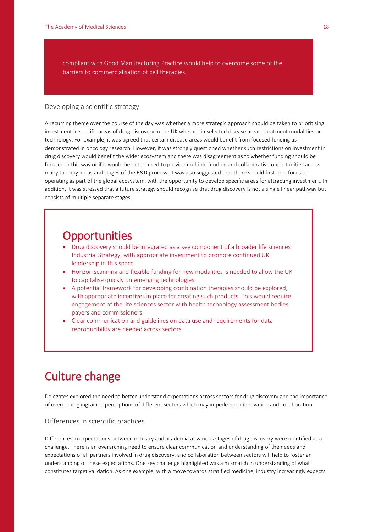compliant with Good Manufacturing Practice would help to overcome some of the barriers to commercialisation of cell therapies.

#### Developing a scientific strategy

A recurring theme over the course of the day was whether a more strategic approach should be taken to prioritising investment in specific areas of drug discovery in the UK whether in selected disease areas, treatment modalities or technology. For example, it was agreed that certain disease areas would benefit from focused funding as demonstrated in oncology research. However, it was strongly questioned whether such restrictions on investment in drug discovery would benefit the wider ecosystem and there was disagreement as to whether funding should be focused in this way or if it would be better used to provide multiple funding and collaborative opportunities across many therapy areas and stages of the R&D process. It was also suggested that there should first be a focus on operating as part of the global ecosystem, with the opportunity to develop specific areas for attracting investment. In addition, it was stressed that a future strategy should recognise that drug discovery is not a single linear pathway but consists of multiple separate stages.

## **Opportunities**

- Drug discovery should be integrated as a key component of a broader life sciences Industrial Strategy, with appropriate investment to promote continued UK leadership in this space.
- Horizon scanning and flexible funding for new modalities is needed to allow the UK to capitalise quickly on emerging technologies.
- A potential framework for developing combination therapies should be explored, with appropriate incentives in place for creating such products. This would require engagement of the life sciences sector with health technology assessment bodies, payers and commissioners.
- Clear communication and guidelines on data use and requirements for data reproducibility are needed across sectors.

## Culture change

Delegates explored the need to better understand expectations across sectors for drug discovery and the importance of overcoming ingrained perceptions of different sectors which may impede open innovation and collaboration.

#### Differences in scientific practices

Differences in expectations between industry and academia at various stages of drug discovery were identified as a challenge. There is an overarching need to ensure clear communication and understanding of the needs and expectations of all partners involved in drug discovery, and collaboration between sectors will help to foster an understanding of these expectations. One key challenge highlighted was a mismatch in understanding of what constitutes target validation. As one example, with a move towards stratified medicine, industry increasingly expects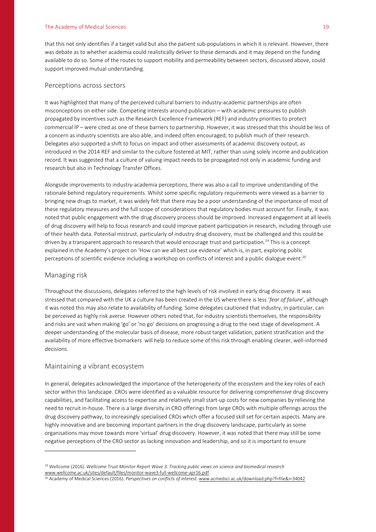#### The Academy of Medical Sciences 19 and 200 million the Academy of Medical Sciences 19 and 200 million the Academy of Medical Sciences 19 and 200 million the Academy of Medical Sciences 19 and 200 million the Academy of Med

that this not only identifies if a target valid but also the patient sub-populations in which it is relevant. However, there was debate as to whether academia could realistically deliver to these demands and it may depend on the funding available to do so. Some of the routes to support mobility and permeability between sectors, discussed above, could support improved mutual understanding.

#### Perceptions across sectors

It was highlighted that many of the perceived cultural barriers to industry-academic partnerships are often misconceptions on either side. Competing interests around publication – with academic pressures to publish propagated by incentives such as the Research Excellence Framework (REF) and industry priorities to protect commercial IP – were cited as one of these barriers to partnership. However, it was stressed that this should be less of a concern as industry scientists are also able, and indeed often encouraged, to publish much of their research. Delegates also supported a shift to focus on impact and other assessments of academic discovery output, as introduced in the 2014 REF and similar to the culture fostered at MIT, rather than using solely income and publication record. It was suggested that a culture of valuing impact needs to be propagated not only in academic funding and research but also in Technology Transfer Offices.

Alongside improvements to industry-academia perceptions, there was also a call to improve understanding of the rationale behind regulatory requirements. Whilst some specific regulatory requirements were viewed as a barrier to bringing new drugs to market, it was widely felt that there may be a poor understanding of the importance of most of these regulatory measures and the full scope of considerations that regulatory bodies must account for. Finally, it was noted that public engagement with the drug discovery process should be improved. Increased engagement at all levels of drug discovery will help to focus research and could improve patient participation in research, including through use of their health data. Potential mistrust, particularly of industry drug discovery, must be challenged and this could be driven by a transparent approach to research that would encourage trust and participation.<sup>19</sup> This is a concept explained in the Academy's project on 'How can we all best use evidence' which is, in part, exploring public perceptions of scientific evidence including a workshop on conflicts of interest and a public dialogue event. $^{20}$ 

#### Managing risk

 $\overline{a}$ 

Throughout the discussions, delegates referred to the high levels of risk involved in early drug discovery. It was stressed that compared with the UK a culture has been created in the US where there is less '*fear of failure*', although it was noted this may also relate to availability of funding. Some delegates cautioned that industry, in particular, can be perceived as highly risk averse. However others noted that, for industry scientists themselves, the responsibility and risks are vast when making 'go' or 'no go' decisions on progressing a drug to the next stage of development. A deeper understanding of the molecular basis of disease, more robust target validation, patient stratification and the availability of more effective biomarkers will help to reduce some of this risk through enabling clearer, well-informed decisions.

#### Maintaining a vibrant ecosystem

In general, delegates acknowledged the importance of the heterogeneity of the ecosystem and the key roles of each sector within this landscape. CROs were identified as a valuable resource for delivering comprehensive drug discovery capabilities, and facilitating access to expertise and relatively small start-up costs for new companies by relieving the need to recruit in-house. There is a large diversity in CRO offerings from large CROs with multiple offerings across the drug discovery pathway, to increasingly specialised CROs which offer a focused skill set for certain aspects. Many are highly innovative and are becoming important partners in the drug discovery landscape, particularly as some organisations may move towards more 'virtual' drug discovery. However, it was noted that there may still be some negative perceptions of the CRO sector as lacking innovation and leadership, and so it is important to ensure

<sup>19</sup> Wellcome (2016). *Wellcome Trust Monitor Report Wave 3: Tracking public views on science and biomedical research*  [www.wellcome.ac.uk/sites/default/files/monitor-wave3-full-wellcome-apr16.pdf](http://www.wellcome.ac.uk/sites/default/files/monitor-wave3-full-wellcome-apr16.pdf)

<sup>20</sup> Academy of Medical Sciences (2016). *Perspectives on conflicts of interest.* [www.acmedsci.ac.uk/download.php?f=file&i=34042](http://www.acmedsci.ac.uk/download.php?f=file&i=34042)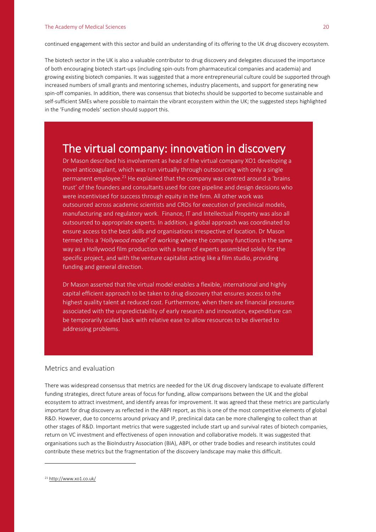continued engagement with this sector and build an understanding of its offering to the UK drug discovery ecosystem.

The biotech sector in the UK is also a valuable contributor to drug discovery and delegates discussed the importance of both encouraging biotech start-ups (including spin-outs from pharmaceutical companies and academia) and growing existing biotech companies. It was suggested that a more entrepreneurial culture could be supported through increased numbers of small grants and mentoring schemes, industry placements, and support for generating new spin-off companies. In addition, there was consensus that biotechs should be supported to become sustainable and self-sufficient SMEs where possible to maintain the vibrant ecosystem within the UK; the suggested steps highlighted in the 'Funding models' section should support this.

### The virtual company: innovation in discovery

Dr Mason described his involvement as head of the virtual company XO1 developing a novel anticoagulant, which was run virtually through outsourcing with only a single permanent employee.<sup>21</sup> He explained that the company was centred around a 'brains trust' of the founders and consultants used for core pipeline and design decisions who were incentivised for success through equity in the firm. All other work was outsourced across academic scientists and CROs for execution of preclinical models, manufacturing and regulatory work. Finance, IT and Intellectual Property was also all outsourced to appropriate experts. In addition, a global approach was coordinated to ensure access to the best skills and organisations irrespective of location. Dr Mason termed this a *'Hollywood model'* of working where the company functions in the same way as a Hollywood film production with a team of experts assembled solely for the specific project, and with the venture capitalist acting like a film studio, providing funding and general direction.

Dr Mason asserted that the virtual model enables a flexible, international and highly capital efficient approach to be taken to drug discovery that ensures access to the highest quality talent at reduced cost. Furthermore, when there are financial pressures associated with the unpredictability of early research and innovation, expenditure can be temporarily scaled back with relative ease to allow resources to be diverted to addressing problems.

#### Metrics and evaluation

There was widespread consensus that metrics are needed for the UK drug discovery landscape to evaluate different funding strategies, direct future areas of focus for funding, allow comparisons between the UK and the global ecosystem to attract investment, and identify areas for improvement. It was agreed that these metrics are particularly important for drug discovery as reflected in the ABPI report, as this is one of the most competitive elements of global R&D. However, due to concerns around privacy and IP, preclinical data can be more challenging to collect than at other stages of R&D. Important metrics that were suggested include start up and survival rates of biotech companies, return on VC investment and effectiveness of open innovation and collaborative models. It was suggested that organisations such as the BioIndustry Association (BIA), ABPI, or other trade bodies and research institutes could contribute these metrics but the fragmentation of the discovery landscape may make this difficult.

<sup>21</sup> <http://www.xo1.co.uk/>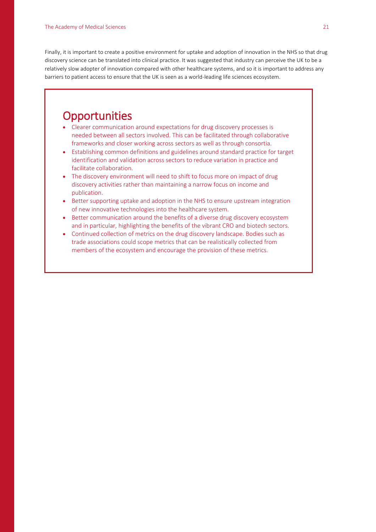Finally, it is important to create a positive environment for uptake and adoption of innovation in the NHS so that drug discovery science can be translated into clinical practice. It was suggested that industry can perceive the UK to be a relatively slow adopter of innovation compared with other healthcare systems, and so it is important to address any barriers to patient access to ensure that the UK is seen as a world-leading life sciences ecosystem.

### **Opportunities**

- Clearer communication around expectations for drug discovery processes is needed between all sectors involved. This can be facilitated through collaborative frameworks and closer working across sectors as well as through consortia.
- Establishing common definitions and guidelines around standard practice for target identification and validation across sectors to reduce variation in practice and facilitate collaboration.
- The discovery environment will need to shift to focus more on impact of drug discovery activities rather than maintaining a narrow focus on income and publication.
- Better supporting uptake and adoption in the NHS to ensure upstream integration of new innovative technologies into the healthcare system.
- Better communication around the benefits of a diverse drug discovery ecosystem and in particular, highlighting the benefits of the vibrant CRO and biotech sectors.
- Continued collection of metrics on the drug discovery landscape. Bodies such as trade associations could scope metrics that can be realistically collected from members of the ecosystem and encourage the provision of these metrics.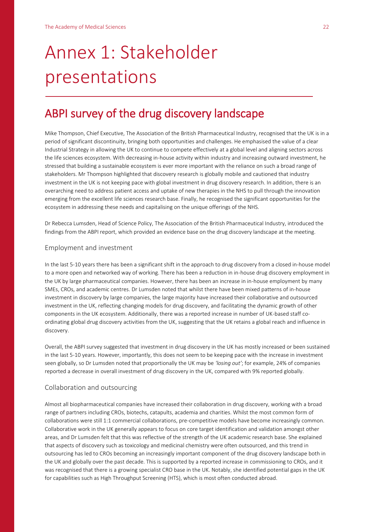## Annex 1: Stakeholder presentations

## ABPI survey of the drug discovery landscape

Mike Thompson, Chief Executive, The Association of the British Pharmaceutical Industry, recognised that the UK is in a period of significant discontinuity, bringing both opportunities and challenges. He emphasised the value of a clear Industrial Strategy in allowing the UK to continue to compete effectively at a global level and aligning sectors across the life sciences ecosystem. With decreasing in-house activity within industry and increasing outward investment, he stressed that building a sustainable ecosystem is ever more important with the reliance on such a broad range of stakeholders. Mr Thompson highlighted that discovery research is globally mobile and cautioned that industry investment in the UK is not keeping pace with global investment in drug discovery research. In addition, there is an overarching need to address patient access and uptake of new therapies in the NHS to pull through the innovation emerging from the excellent life sciences research base. Finally, he recognised the significant opportunities for the ecosystem in addressing these needs and capitalising on the unique offerings of the NHS.

Dr Rebecca Lumsden, Head of Science Policy, The Association of the British Pharmaceutical Industry, introduced the findings from the ABPI report, which provided an evidence base on the drug discovery landscape at the meeting.

#### Employment and investment

In the last 5-10 years there has been a significant shift in the approach to drug discovery from a closed in-house model to a more open and networked way of working. There has been a reduction in in-house drug discovery employment in the UK by large pharmaceutical companies. However, there has been an increase in in-house employment by many SMEs, CROs, and academic centres. Dr Lumsden noted that whilst there have been mixed patterns of in-house investment in discovery by large companies, the large majority have increased their collaborative and outsourced investment in the UK, reflecting changing models for drug discovery, and facilitating the dynamic growth of other components in the UK ecosystem. Additionally, there was a reported increase in number of UK-based staff coordinating global drug discovery activities from the UK, suggesting that the UK retains a global reach and influence in discovery.

Overall, the ABPI survey suggested that investment in drug discovery in the UK has mostly increased or been sustained in the last 5-10 years. However, importantly, this does not seem to be keeping pace with the increase in investment seen globally, so Dr Lumsden noted that proportionally the UK may be *'losing out'*; for example, 24% of companies reported a decrease in overall investment of drug discovery in the UK, compared with 9% reported globally.

#### Collaboration and outsourcing

Almost all biopharmaceutical companies have increased their collaboration in drug discovery, working with a broad range of partners including CROs, biotechs, catapults, academia and charities. Whilst the most common form of collaborations were still 1:1 commercial collaborations, pre-competitive models have become increasingly common. Collaborative work in the UK generally appears to focus on core target identification and validation amongst other areas, and Dr Lumsden felt that this was reflective of the strength of the UK academic research base. She explained that aspects of discovery such as toxicology and medicinal chemistry were often outsourced, and this trend in outsourcing has led to CROs becoming an increasingly important component of the drug discovery landscape both in the UK and globally over the past decade. This is supported by a reported increase in commissioning to CROs, and it was recognised that there is a growing specialist CRO base in the UK. Notably, she identified potential gaps in the UK for capabilities such as High Throughput Screening (HTS), which is most often conducted abroad.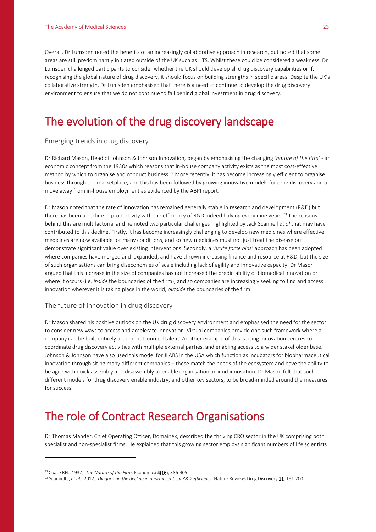Overall, Dr Lumsden noted the benefits of an increasingly collaborative approach in research, but noted that some areas are still predominantly initiated outside of the UK such as HTS. Whilst these could be considered a weakness, Dr Lumsden challenged participants to consider whether the UK should develop all drug discovery capabilities or if, recognising the global nature of drug discovery, it should focus on building strengths in specific areas. Despite the UK's collaborative strength, Dr Lumsden emphasised that there is a need to continue to develop the drug discovery environment to ensure that we do not continue to fall behind global investment in drug discovery.

## The evolution of the drug discovery landscape

#### Emerging trends in drug discovery

Dr Richard Mason, Head of Johnson & Johnson Innovation, began by emphasising the changing *'nature of the firm'* - an economic concept from the 1930s which reasons that in-house company activity exists as the most cost-effective method by which to organise and conduct business.<sup>22</sup> More recently, it has become increasingly efficient to organise business through the marketplace, and this has been followed by growing innovative models for drug discovery and a move away from in-house employment as evidenced by the ABPI report.

Dr Mason noted that the rate of innovation has remained generally stable in research and development (R&D) but there has been a decline in productivity with the efficiency of R&D indeed halving every nine years.<sup>23</sup> The reasons behind this are multifactorial and he noted two particular challenges highlighted by Jack Scannell *et al* that may have contributed to this decline. Firstly, it has become increasingly challenging to develop new medicines where effective medicines are now available for many conditions, and so new medicines must not just treat the disease but demonstrate significant value over existing interventions. Secondly, a *'brute force bias'* approach has been adopted where companies have merged and expanded, and have thrown increasing finance and resource at R&D, but the size of such organisations can bring diseconomies of scale including lack of agility and innovative capacity. Dr Mason argued that this increase in the size of companies has not increased the predictability of biomedical innovation or where it occurs (i.e. *inside* the boundaries of the firm), and so companies are increasingly seeking to find and access innovation wherever it is taking place in the world, *outside* the boundaries of the firm.

#### The future of innovation in drug discovery

Dr Mason shared his positive outlook on the UK drug discovery environment and emphasised the need for the sector to consider new ways to access and accelerate innovation. Virtual companies provide one such framework where a company can be built entirely around outsourced talent. Another example of this is using innovation centres to coordinate drug discovery activities with multiple external parties, and enabling access to a wider stakeholder base. Johnson & Johnson have also used this model for JLABS in the USA which function as incubators for biopharmaceutical innovation through siting many different companies – these match the needs of the ecosystem and have the ability to be agile with quick assembly and disassembly to enable organisation around innovation. Dr Mason felt that such different models for drug discovery enable industry, and other key sectors, to be broad-minded around the measures for success.

## The role of Contract Research Organisations

Dr Thomas Mander, Chief Operating Officer, Domainex, described the thriving CRO sector in the UK comprising both specialist and non-specialist firms. He explained that this growing sector employs significant numbers of life scientists

<sup>22</sup> Coase RH. (1937). *The Nature of the Firm.* Economica 4(16), 386-405.

<sup>23</sup> Scannell J, *et al.* (2012). *Diagnosing the decline in pharmaceutical R&D efficiency.* Nature Reviews Drug Discovery 11, 191-200.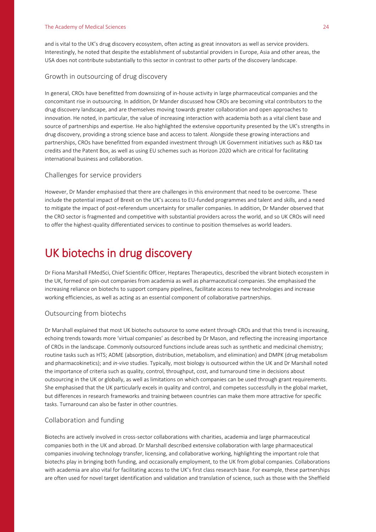and is vital to the UK's drug discovery ecosystem, often acting as great innovators as well as service providers. Interestingly, he noted that despite the establishment of substantial providers in Europe, Asia and other areas, the USA does not contribute substantially to this sector in contrast to other parts of the discovery landscape.

#### Growth in outsourcing of drug discovery

In general, CROs have benefitted from downsizing of in-house activity in large pharmaceutical companies and the concomitant rise in outsourcing. In addition, Dr Mander discussed how CROs are becoming vital contributors to the drug discovery landscape, and are themselves moving towards greater collaboration and open approaches to innovation. He noted, in particular, the value of increasing interaction with academia both as a vital client base and source of partnerships and expertise. He also highlighted the extensive opportunity presented by the UK's strengths in drug discovery, providing a strong science base and access to talent. Alongside these growing interactions and partnerships, CROs have benefitted from expanded investment through UK Government initiatives such as R&D tax credits and the Patent Box, as well as using EU schemes such as Horizon 2020 which are critical for facilitating international business and collaboration.

#### Challenges for service providers

However, Dr Mander emphasised that there are challenges in this environment that need to be overcome. These include the potential impact of Brexit on the UK's access to EU-funded programmes and talent and skills, and a need to mitigate the impact of post-referendum uncertainty for smaller companies. In addition, Dr Mander observed that the CRO sector is fragmented and competitive with substantial providers across the world, and so UK CROs will need to offer the highest-quality differentiated services to continue to position themselves as world leaders.

## UK biotechs in drug discovery

Dr Fiona Marshall FMedSci, Chief Scientific Officer, Heptares Therapeutics, described the vibrant biotech ecosystem in the UK, formed of spin-out companies from academia as well as pharmaceutical companies. She emphasised the increasing reliance on biotechs to support company pipelines, facilitate access to new technologies and increase working efficiencies, as well as acting as an essential component of collaborative partnerships.

#### Outsourcing from biotechs

Dr Marshall explained that most UK biotechs outsource to some extent through CROs and that this trend is increasing, echoing trends towards more 'virtual companies' as described by Dr Mason, and reflecting the increasing importance of CROs in the landscape. Commonly outsourced functions include areas such as synthetic and medicinal chemistry; routine tasks such as HTS; ADME (absorption, distribution, metabolism, and elimination) and DMPK (drug metabolism and pharmacokinetics); and *in-vivo* studies. Typically, most biology is outsourced within the UK and Dr Marshall noted the importance of criteria such as quality, control, throughput, cost, and turnaround time in decisions about outsourcing in the UK or globally, as well as limitations on which companies can be used through grant requirements. She emphasised that the UK particularly excels in quality and control, and competes successfully in the global market, but differences in research frameworks and training between countries can make them more attractive for specific tasks. Turnaround can also be faster in other countries.

#### Collaboration and funding

Biotechs are actively involved in cross-sector collaborations with charities, academia and large pharmaceutical companies both in the UK and abroad. Dr Marshall described extensive collaboration with large pharmaceutical companies involving technology transfer, licensing, and collaborative working, highlighting the important role that biotechs play in bringing both funding, and occasionally employment, to the UK from global companies. Collaborations with academia are also vital for facilitating access to the UK's first class research base. For example, these partnerships are often used for novel target identification and validation and translation of science, such as those with the Sheffield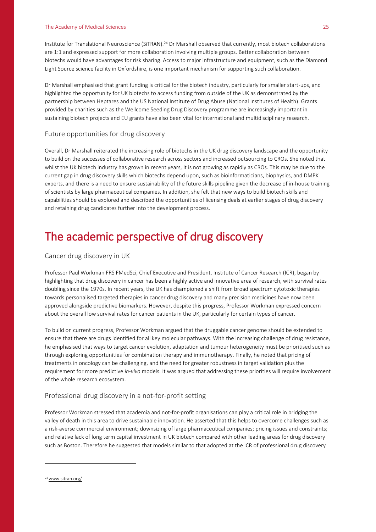Institute for Translational Neuroscience (SiTRAN).<sup>24</sup> Dr Marshall observed that currently, most biotech collaborations are 1:1 and expressed support for more collaboration involving multiple groups. Better collaboration between biotechs would have advantages for risk sharing. Access to major infrastructure and equipment, such as the Diamond Light Source science facility in Oxfordshire, is one important mechanism for supporting such collaboration.

Dr Marshall emphasised that grant funding is critical for the biotech industry, particularly for smaller start-ups, and highlighted the opportunity for UK biotechs to access funding from outside of the UK as demonstrated by the partnership between Heptares and the US National Institute of Drug Abuse (National Institutes of Health). Grants provided by charities such as the Wellcome Seeding Drug Discovery programme are increasingly important in sustaining biotech projects and EU grants have also been vital for international and multidisciplinary research.

#### Future opportunities for drug discovery

Overall, Dr Marshall reiterated the increasing role of biotechs in the UK drug discovery landscape and the opportunity to build on the successes of collaborative research across sectors and increased outsourcing to CROs. She noted that whilst the UK biotech industry has grown in recent years, it is not growing as rapidly as CROs. This may be due to the current gap in drug discovery skills which biotechs depend upon, such as bioinformaticians, biophysics, and DMPK experts, and there is a need to ensure sustainability of the future skills pipeline given the decrease of in-house training of scientists by large pharmaceutical companies. In addition, she felt that new ways to build biotech skills and capabilities should be explored and described the opportunities of licensing deals at earlier stages of drug discovery and retaining drug candidates further into the development process.

## The academic perspective of drug discovery

#### Cancer drug discovery in UK

Professor Paul Workman FRS FMedSci, Chief Executive and President, Institute of Cancer Research (ICR), began by highlighting that drug discovery in cancer has been a highly active and innovative area of research, with survival rates doubling since the 1970s. In recent years, the UK has championed a shift from broad spectrum cytotoxic therapies towards personalised targeted therapies in cancer drug discovery and many precision medicines have now been approved alongside predictive biomarkers. However, despite this progress, Professor Workman expressed concern about the overall low survival rates for cancer patients in the UK, particularly for certain types of cancer.

To build on current progress, Professor Workman argued that the druggable cancer genome should be extended to ensure that there are drugs identified for all key molecular pathways. With the increasing challenge of drug resistance, he emphasised that ways to target cancer evolution, adaptation and tumour heterogeneity must be prioritised such as through exploring opportunities for combination therapy and immunotherapy. Finally, he noted that pricing of treatments in oncology can be challenging, and the need for greater robustness in target validation plus the requirement for more predictive *in-vivo* models. It was argued that addressing these priorities will require involvement of the whole research ecosystem.

#### Professional drug discovery in a not-for-profit setting

Professor Workman stressed that academia and not-for-profit organisations can play a critical role in bridging the valley of death in this area to drive sustainable innovation. He asserted that this helps to overcome challenges such as a risk-averse commercial environment; downsizing of large pharmaceutical companies; pricing issues and constraints; and relative lack of long term capital investment in UK biotech compared with other leading areas for drug discovery such as Boston. Therefore he suggested that models similar to that adopted at the ICR of professional drug discovery

<sup>&</sup>lt;sup>24</sup> [www.sitran.org/](http://www.sitran.org/)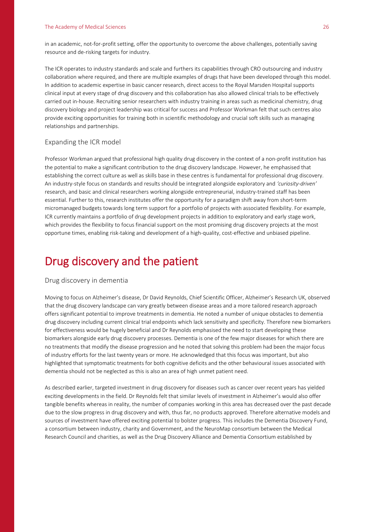in an academic, not-for-profit setting, offer the opportunity to overcome the above challenges, potentially saving resource and de-risking targets for industry.

The ICR operates to industry standards and scale and furthers its capabilities through CRO outsourcing and industry collaboration where required, and there are multiple examples of drugs that have been developed through this model. In addition to academic expertise in basic cancer research, direct access to the Royal Marsden Hospital supports clinical input at every stage of drug discovery and this collaboration has also allowed clinical trials to be effectively carried out in-house. Recruiting senior researchers with industry training in areas such as medicinal chemistry, drug discovery biology and project leadership was critical for success and Professor Workman felt that such centres also provide exciting opportunities for training both in scientific methodology and crucial soft skills such as managing relationships and partnerships.

#### Expanding the ICR model

Professor Workman argued that professional high quality drug discovery in the context of a non-profit institution has the potential to make a significant contribution to the drug discovery landscape. However, he emphasised that establishing the correct culture as well as skills base in these centres is fundamental for professional drug discovery. An industry-style focus on standards and results should be integrated alongside exploratory and *'curiosity-driven'*  research, and basic and clinical researchers working alongside entrepreneurial, industry-trained staff has been essential. Further to this, research institutes offer the opportunity for a paradigm shift away from short-term micromanaged budgets towards long term support for a portfolio of projects with associated flexibility. For example, ICR currently maintains a portfolio of drug development projects in addition to exploratory and early stage work, which provides the flexibility to focus financial support on the most promising drug discovery projects at the most opportune times, enabling risk-taking and development of a high-quality, cost-effective and unbiased pipeline.

## Drug discovery and the patient

#### Drug discovery in dementia

Moving to focus on Alzheimer's disease, Dr David Reynolds, Chief Scientific Officer, Alzheimer's Research UK, observed that the drug discovery landscape can vary greatly between disease areas and a more tailored research approach offers significant potential to improve treatments in dementia. He noted a number of unique obstacles to dementia drug discovery including current clinical trial endpoints which lack sensitivity and specificity. Therefore new biomarkers for effectiveness would be hugely beneficial and Dr Reynolds emphasised the need to start developing these biomarkers alongside early drug discovery processes. Dementia is one of the few major diseases for which there are no treatments that modify the disease progression and he noted that solving this problem had been the major focus of industry efforts for the last twenty years or more. He acknowledged that this focus was important, but also highlighted that symptomatic treatments for both cognitive deficits and the other behavioural issues associated with dementia should not be neglected as this is also an area of high unmet patient need.

As described earlier, targeted investment in drug discovery for diseases such as cancer over recent years has yielded exciting developments in the field. Dr Reynolds felt that similar levels of investment in Alzheimer's would also offer tangible benefits whereas in reality, the number of companies working in this area has decreased over the past decade due to the slow progress in drug discovery and with, thus far, no products approved. Therefore alternative models and sources of investment have offered exciting potential to bolster progress. This includes the Dementia Discovery Fund, a consortium between industry, charity and Government, and the NeuroMap consortium between the Medical Research Council and charities, as well as the Drug Discovery Alliance and Dementia Consortium established by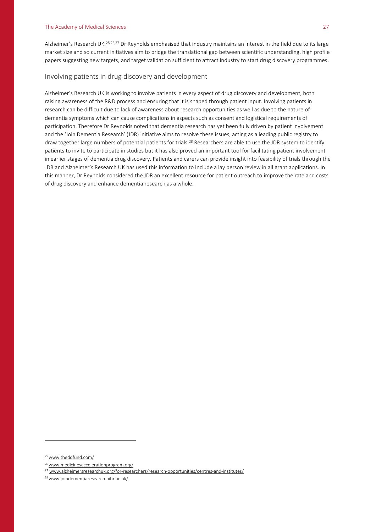Alzheimer's Research UK.<sup>25,26,27</sup> Dr Reynolds emphasised that industry maintains an interest in the field due to its large market size and so current initiatives aim to bridge the translational gap between scientific understanding, high profile papers suggesting new targets, and target validation sufficient to attract industry to start drug discovery programmes.

#### Involving patients in drug discovery and development

Alzheimer's Research UK is working to involve patients in every aspect of drug discovery and development, both raising awareness of the R&D process and ensuring that it is shaped through patient input. Involving patients in research can be difficult due to lack of awareness about research opportunities as well as due to the nature of dementia symptoms which can cause complications in aspects such as consent and logistical requirements of participation. Therefore Dr Reynolds noted that dementia research has yet been fully driven by patient involvement and the 'Join Dementia Research' (JDR) initiative aims to resolve these issues, acting as a leading public registry to draw together large numbers of potential patients for trials.<sup>28</sup> Researchers are able to use the JDR system to identify patients to invite to participate in studies but it has also proved an important tool for facilitating patient involvement in earlier stages of dementia drug discovery. Patients and carers can provide insight into feasibility of trials through the JDR and Alzheimer's Research UK has used this information to include a lay person review in all grant applications. In this manner, Dr Reynolds considered the JDR an excellent resource for patient outreach to improve the rate and costs of drug discovery and enhance dementia research as a whole.

<sup>&</sup>lt;sup>25</sup> [www.theddfund.com/](http://www.theddfund.com/)

<sup>&</sup>lt;sup>26</sup> [www.medicinesaccelerationprogram.org/](http://www.medicinesaccelerationprogram.org/)

<sup>27</sup> [www.alzheimersresearchuk.org/for-researchers/research-opportunities/centres-and-institutes/](http://www.alzheimersresearchuk.org/for-researchers/research-opportunities/centres-and-institutes/)

<sup>28</sup> [www.joindementiaresearch.nihr.ac.uk/](http://www.joindementiaresearch.nihr.ac.uk/)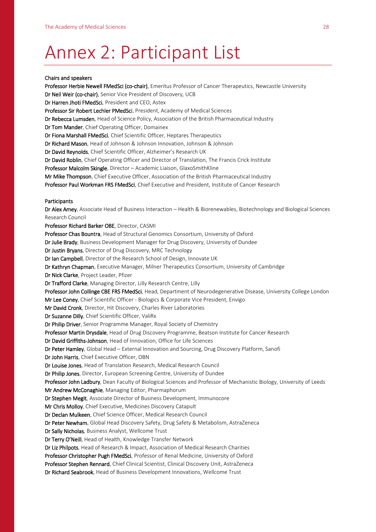## Annex 2: Participant List

#### Chairs and speakers

Professor Herbie Newell FMedSci (co-chair), Emeritus Professor of Cancer Therapeutics, Newcastle University Dr Neil Weir (co-chair), Senior Vice President of Discovery, UCB Dr Harren Jhoti FMedSci, President and CEO, Astex Professor Sir Robert Lechler PMedSci, President, Academy of Medical Sciences Dr Rebecca Lumsden, Head of Science Policy, Association of the British Pharmaceutical Industry Dr Tom Mander, Chief Operating Officer, Domainex Dr Fiona Marshall FMedSci, Chief Scientific Officer, Heptares Therapeutics Dr Richard Mason, Head of Johnson & Johnson Innovation, Johnson & Johnson Dr David Reynolds, Chief Scientific Officer, Alzheimer's Research UK Dr David Roblin, Chief Operating Officer and Director of Translation, The Francis Crick Institute Professor Malcolm Skingle, Director - Academic Liaison, GlaxoSmithKline Mr Mike Thompson, Chief Executive Officer, Association of the British Pharmaceutical Industry Professor Paul Workman FRS FMedSci, Chief Executive and President, Institute of Cancer Research Participants Dr Alex Amey, Associate Head of Business Interaction – Health & Biorenewables, Biotechnology and Biological Sciences Research Council Professor Richard Barker OBE, Director, CASMI Professor Chas Bountra, Head of Structural Genomics Consortium, University of Oxford Dr Julie Brady, Business Development Manager for Drug Discovery, University of Dundee Dr Justin Bryans, Director of Drug Discovery, MRC Technology Dr Ian Campbell, Director of the Research School of Design, Innovate UK Dr Kathryn Chapman, Executive Manager, Milner Therapeutics Consortium, University of Cambridge Dr Nick Clarke, Project Leader, Pfizer Dr Trafford Clarke, Managing Director, Lilly Research Centre, Lilly Professor John Collinge CBE FRS FMedSci, Head, Department of Neurodegenerative Disease, University College London Mr Lee Coney, Chief Scientific Officer - Biologics & Corporate Vice President, Envigo Mr David Cronk, Director, Hit Discovery, Charles River Laboratories Dr Suzanne Dilly, Chief Scientific Officer, ValiRx Dr Philip Driver, Senior Programme Manager, Royal Society of Chemistry Professor Martin Drysdale, Head of Drug Discovery Programme, Beatson Institute for Cancer Research Dr David Griffiths-Johnson, Head of Innovation, Office for Life Sciences Dr Peter Hamley, Global Head – External Innovation and Sourcing, Drug Discovery Platform, Sanofi Dr John Harris, Chief Executive Officer, OBN Dr Louise Jones, Head of Translation Research, Medical Research Council Dr Philip Jones, Director, European Screening Centre, University of Dundee Professor John Ladbury, Dean Faculty of Biological Sciences and Professor of Mechanistic Biology, University of Leeds Mr Andrew McConaghie, Managing Editor, Pharmaphorum Dr Stephen Megit, Associate Director of Business Development, Immunocore Mr Chris Molloy, Chief Executive, Medicines Discovery Catapult Dr Declan Mulkeen, Chief Science Officer, Medical Research Council Dr Peter Newham, Global Head Discovery Safety, Drug Safety & Metabolism, AstraZeneca Dr Sally Nicholas, Business Analyst, Wellcome Trust Dr Terry O'Neill, Head of Health, Knowledge Transfer Network Dr Liz Philpots, Head of Research & Impact, Association of Medical Research Charities Professor Christopher Pugh FMedSci, Professor of Renal Medicine, University of Oxford Professor Stephen Rennard, Chief Clinical Scientist, Clinical Discovery Unit, AstraZeneca Dr Richard Seabrook, Head of Business Development Innovations, Wellcome Trust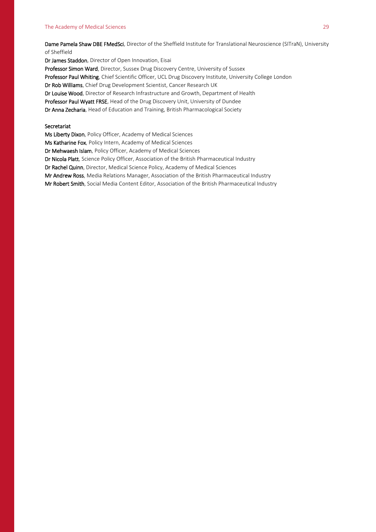#### The Academy of Medical Sciences 29

Dame Pamela Shaw DBE FMedSci, Director of the Sheffield Institute for Translational Neuroscience (SITraN), University of Sheffield

Dr James Staddon, Director of Open Innovation, Eisai Professor Simon Ward, Director, Sussex Drug Discovery Centre, University of Sussex Professor Paul Whiting, Chief Scientific Officer, UCL Drug Discovery Institute, University College London Dr Rob Williams, Chief Drug Development Scientist, Cancer Research UK Dr Louise Wood, Director of Research Infrastructure and Growth, Department of Health Professor Paul Wyatt FRSE, Head of the Drug Discovery Unit, University of Dundee Dr Anna Zecharia, Head of Education and Training, British Pharmacological Society

#### Secretariat

Ms Liberty Dixon, Policy Officer, Academy of Medical Sciences Ms Katharine Fox, Policy Intern, Academy of Medical Sciences Dr Mehwaesh Islam, Policy Officer, Academy of Medical Sciences Dr Nicola Platt, Science Policy Officer, Association of the British Pharmaceutical Industry Dr Rachel Quinn, Director, Medical Science Policy, Academy of Medical Sciences Mr Andrew Ross, Media Relations Manager, Association of the British Pharmaceutical Industry Mr Robert Smith, Social Media Content Editor, Association of the British Pharmaceutical Industry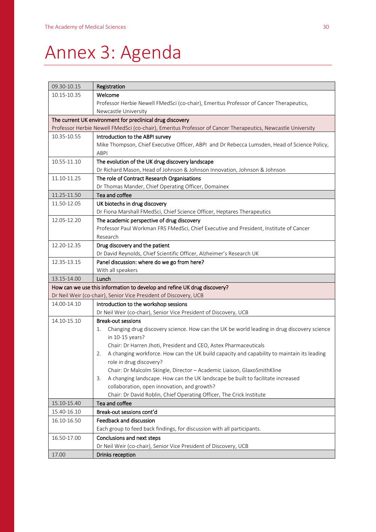## Annex 3: Agenda

| 09.30-10.15                                                                                                 | Registration                                                                                       |  |
|-------------------------------------------------------------------------------------------------------------|----------------------------------------------------------------------------------------------------|--|
| 10.15-10.35                                                                                                 | Welcome                                                                                            |  |
|                                                                                                             | Professor Herbie Newell FMedSci (co-chair), Emeritus Professor of Cancer Therapeutics,             |  |
|                                                                                                             | Newcastle University                                                                               |  |
| The current UK environment for preclinical drug discovery                                                   |                                                                                                    |  |
| Professor Herbie Newell FMedSci (co-chair), Emeritus Professor of Cancer Therapeutics, Newcastle University |                                                                                                    |  |
| 10.35-10.55                                                                                                 | Introduction to the ABPI survey                                                                    |  |
|                                                                                                             | Mike Thompson, Chief Executive Officer, ABPI and Dr Rebecca Lumsden, Head of Science Policy,       |  |
|                                                                                                             | <b>ABPI</b>                                                                                        |  |
| 10.55-11.10                                                                                                 | The evolution of the UK drug discovery landscape                                                   |  |
|                                                                                                             | Dr Richard Mason, Head of Johnson & Johnson Innovation, Johnson & Johnson                          |  |
| 11.10-11.25                                                                                                 | The role of Contract Research Organisations                                                        |  |
|                                                                                                             | Dr Thomas Mander, Chief Operating Officer, Domainex                                                |  |
| 11.25-11.50                                                                                                 | Tea and coffee                                                                                     |  |
| 11.50-12.05                                                                                                 | UK biotechs in drug discovery                                                                      |  |
|                                                                                                             | Dr Fiona Marshall FMedSci, Chief Science Officer, Heptares Therapeutics                            |  |
| 12.05-12.20                                                                                                 | The academic perspective of drug discovery                                                         |  |
|                                                                                                             | Professor Paul Workman FRS FMedSci, Chief Executive and President, Institute of Cancer<br>Research |  |
| 12.20-12.35                                                                                                 | Drug discovery and the patient                                                                     |  |
|                                                                                                             | Dr David Reynolds, Chief Scientific Officer, Alzheimer's Research UK                               |  |
| 12.35-13.15                                                                                                 | Panel discussion: where do we go from here?                                                        |  |
|                                                                                                             | With all speakers                                                                                  |  |
| 13.15-14.00                                                                                                 | Lunch                                                                                              |  |
| How can we use this information to develop and refine UK drug discovery?                                    |                                                                                                    |  |
| Dr Neil Weir (co-chair), Senior Vice President of Discovery, UCB                                            |                                                                                                    |  |
| 14.00-14.10                                                                                                 | Introduction to the workshop sessions                                                              |  |
|                                                                                                             | Dr Neil Weir (co-chair), Senior Vice President of Discovery, UCB                                   |  |
| 14.10-15.10                                                                                                 | <b>Break-out sessions</b>                                                                          |  |
|                                                                                                             | Changing drug discovery science. How can the UK be world leading in drug discovery science<br>1.   |  |
|                                                                                                             | in 10-15 years?                                                                                    |  |
|                                                                                                             | Chair: Dr Harren Jhoti, President and CEO, Astex Pharmaceuticals                                   |  |
|                                                                                                             | A changing workforce. How can the UK build capacity and capability to maintain its leading<br>2.   |  |
|                                                                                                             | role in drug discovery?                                                                            |  |
|                                                                                                             | Chair: Dr Malcolm Skingle, Director - Academic Liaison, GlaxoSmithKline                            |  |
|                                                                                                             | A changing landscape. How can the UK landscape be built to facilitate increased<br>3.              |  |
|                                                                                                             | collaboration, open innovation, and growth?                                                        |  |
|                                                                                                             | Chair: Dr David Roblin, Chief Operating Officer, The Crick Institute                               |  |
| 15.10-15.40                                                                                                 | Tea and coffee                                                                                     |  |
| 15.40-16.10                                                                                                 | Break-out sessions cont'd                                                                          |  |
| 16.10-16.50                                                                                                 | Feedback and discussion                                                                            |  |
|                                                                                                             | Each group to feed back findings, for discussion with all participants.                            |  |
| 16.50-17.00                                                                                                 | Conclusions and next steps                                                                         |  |
|                                                                                                             | Dr Neil Weir (co-chair), Senior Vice President of Discovery, UCB                                   |  |
| 17.00                                                                                                       | Drinks reception                                                                                   |  |